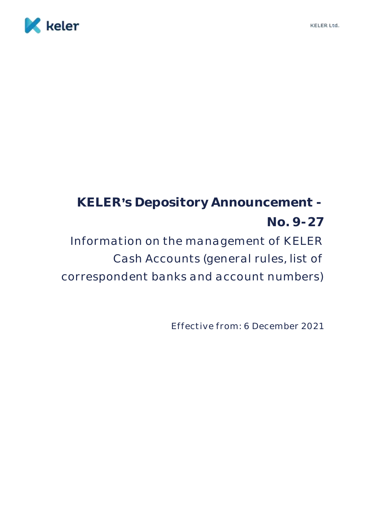

# **KELER s Depository Announcement - No. 9-27** Information on the management of KELER Cash Accounts (general rules, list of correspondent banks and account numbers)

Effective from: 6 December 2021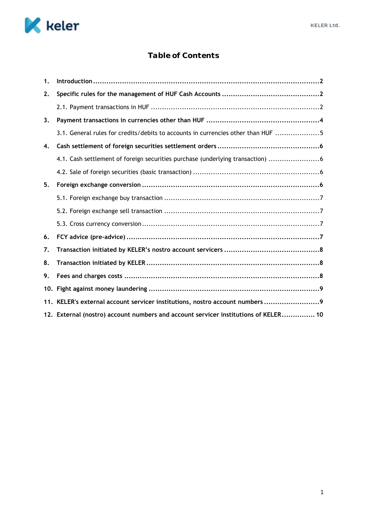

# **Table of Contents**

| 1. |                                                                                     |
|----|-------------------------------------------------------------------------------------|
| 2. |                                                                                     |
|    |                                                                                     |
| 3. |                                                                                     |
|    | 3.1. General rules for credits/debits to accounts in currencies other than HUF 5    |
| 4. |                                                                                     |
|    | 4.1. Cash settlement of foreign securities purchase (underlying transaction) 6      |
|    |                                                                                     |
| 5. |                                                                                     |
|    |                                                                                     |
|    |                                                                                     |
|    |                                                                                     |
| 6. |                                                                                     |
| 7. |                                                                                     |
| 8. |                                                                                     |
| 9. |                                                                                     |
|    |                                                                                     |
|    | 11. KELER's external account servicer institutions, nostro account numbers  9       |
|    | 12. External (nostro) account numbers and account servicer institutions of KELER 10 |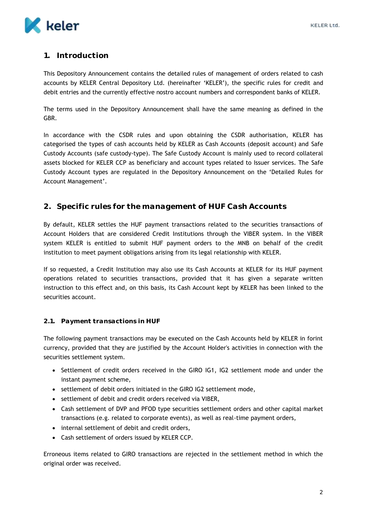

## <span id="page-2-0"></span>**1. Introduction**

This Depository Announcement contains the detailed rules of management of orders related to cash accounts by KELER Central Depository Ltd. (hereinafter 'KELER'), the specific rules for credit and debit entries and the currently effective nostro account numbers and correspondent banks of KELER.

The terms used in the Depository Announcement shall have the same meaning as defined in the GBR.

In accordance with the CSDR rules and upon obtaining the CSDR authorisation, KELER has categorised the types of cash accounts held by KELER as Cash Accounts (deposit account) and Safe Custody Accounts (safe custody-type). The Safe Custody Account is mainly used to record collateral assets blocked for KELER CCP as beneficiary and account types related to Issuer services. The Safe Custody Account types are regulated in the Depository Announcement on the 'Detailed Rules for Account Management'.

### <span id="page-2-1"></span>**2. Specific rules for the management of HUF Cash Accounts**

By default, KELER settles the HUF payment transactions related to the securities transactions of Account Holders that are considered Credit Institutions through the VIBER system. In the VIBER system KELER is entitled to submit HUF payment orders to the MNB on behalf of the credit institution to meet payment obligations arising from its legal relationship with KELER.

If so requested, a Credit Institution may also use its Cash Accounts at KELER for its HUF payment operations related to securities transactions, provided that it has given a separate written instruction to this effect and, on this basis, its Cash Account kept by KELER has been linked to the securities account.

#### <span id="page-2-2"></span>**2.1. Payment transactions in HUF**

The following payment transactions may be executed on the Cash Accounts held by KELER in forint currency, provided that they are justified by the Account Holder's activities in connection with the securities settlement system.

- Settlement of credit orders received in the GIRO IG1, IG2 settlement mode and under the instant payment scheme,
- settlement of debit orders initiated in the GIRO IG2 settlement mode,
- settlement of debit and credit orders received via VIBER,
- Cash settlement of DVP and PFOD type securities settlement orders and other capital market transactions (e.g. related to corporate events), as well as real-time payment orders,
- internal settlement of debit and credit orders,
- Cash settlement of orders issued by KELER CCP.

Erroneous items related to GIRO transactions are rejected in the settlement method in which the original order was received.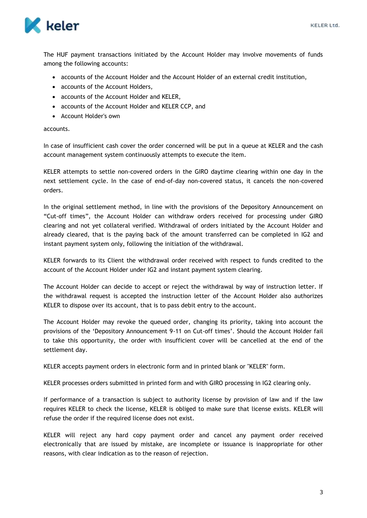

The HUF payment transactions initiated by the Account Holder may involve movements of funds among the following accounts:

- accounts of the Account Holder and the Account Holder of an external credit institution,
- accounts of the Account Holders,
- accounts of the Account Holder and KELER,
- accounts of the Account Holder and KELER CCP, and
- Account Holder's own

#### accounts.

In case of insufficient cash cover the order concerned will be put in a queue at KELER and the cash account management system continuously attempts to execute the item.

KELER attempts to settle non-covered orders in the GIRO daytime clearing within one day in the next settlement cycle. In the case of end-of-day non-covered status, it cancels the non-covered orders.

In the original settlement method, in line with the provisions of the Depository Announcement on "Cut-off times", the Account Holder can withdraw orders received for processing under GIRO clearing and not yet collateral verified. Withdrawal of orders initiated by the Account Holder and already cleared, that is the paying back of the amount transferred can be completed in IG2 and instant payment system only, following the initiation of the withdrawal.

KELER forwards to its Client the withdrawal order received with respect to funds credited to the account of the Account Holder under IG2 and instant payment system clearing.

The Account Holder can decide to accept or reject the withdrawal by way of instruction letter. If the withdrawal request is accepted the instruction letter of the Account Holder also authorizes KELER to dispose over its account, that is to pass debit entry to the account.

The Account Holder may revoke the queued order, changing its priority, taking into account the provisions of the 'Depository Announcement 9-11 on Cut-off times'. Should the Account Holder fail to take this opportunity, the order with insufficient cover will be cancelled at the end of the settlement day.

KELER accepts payment orders in electronic form and in printed blank or "KELER" form.

KELER processes orders submitted in printed form and with GIRO processing in IG2 clearing only.

If performance of a transaction is subject to authority license by provision of law and if the law requires KELER to check the license, KELER is obliged to make sure that license exists. KELER will refuse the order if the required license does not exist.

KELER will reject any hard copy payment order and cancel any payment order received electronically that are issued by mistake, are incomplete or issuance is inappropriate for other reasons, with clear indication as to the reason of rejection.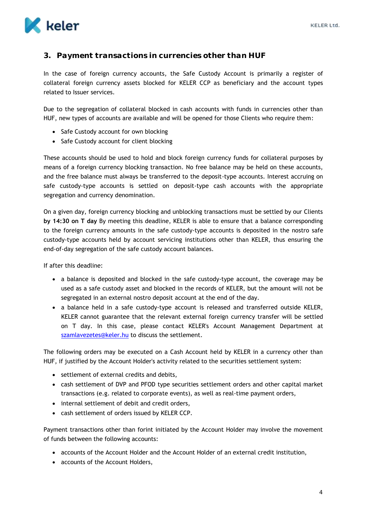

## <span id="page-4-0"></span>**3. Payment transactions in currencies other than HUF**

In the case of foreign currency accounts, the Safe Custody Account is primarily a register of collateral foreign currency assets blocked for KELER CCP as beneficiary and the account types related to Issuer services.

Due to the segregation of collateral blocked in cash accounts with funds in currencies other than HUF, new types of accounts are available and will be opened for those Clients who require them:

- Safe Custody account for own blocking
- Safe Custody account for client blocking

These accounts should be used to hold and block foreign currency funds for collateral purposes by means of a foreign currency blocking transaction. No free balance may be held on these accounts, and the free balance must always be transferred to the deposit-type accounts. Interest accruing on safe custody-type accounts is settled on deposit-type cash accounts with the appropriate segregation and currency denomination.

On a given day, foreign currency blocking and unblocking transactions must be settled by our Clients **by 14:30 on T day** By meeting this deadline, KELER is able to ensure that a balance corresponding to the foreign currency amounts in the safe custody-type accounts is deposited in the nostro safe custody-type accounts held by account servicing institutions other than KELER, thus ensuring the end-of-day segregation of the safe custody account balances.

If after this deadline:

- a balance is deposited and blocked in the safe custody-type account, the coverage may be used as a safe custody asset and blocked in the records of KELER, but the amount will not be segregated in an external nostro deposit account at the end of the day.
- a balance held in a safe custody-type account is released and transferred outside KELER, KELER cannot guarantee that the relevant external foreign currency transfer will be settled on T day. In this case, please contact KELER's Account Management Department at [szamlavezetes@keler.hu](mailto:szamlavezetes@keler.hu) to discuss the settlement.

The following orders may be executed on a Cash Account held by KELER in a currency other than HUF, if justified by the Account Holder's activity related to the securities settlement system:

- settlement of external credits and debits,
- cash settlement of DVP and PFOD type securities settlement orders and other capital market transactions (e.g. related to corporate events), as well as real-time payment orders,
- internal settlement of debit and credit orders,
- cash settlement of orders issued by KELER CCP.

Payment transactions other than forint initiated by the Account Holder may involve the movement of funds between the following accounts:

- accounts of the Account Holder and the Account Holder of an external credit institution,
- accounts of the Account Holders,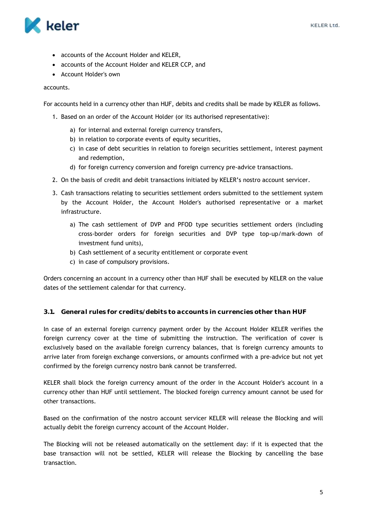

- accounts of the Account Holder and KELER,
- accounts of the Account Holder and KELER CCP, and
- Account Holder's own

#### accounts.

For accounts held in a currency other than HUF, debits and credits shall be made by KELER as follows.

- 1. Based on an order of the Account Holder (or its authorised representative):
	- a) for internal and external foreign currency transfers,
	- b) in relation to corporate events of equity securities,
	- c) in case of debt securities in relation to foreign securities settlement, interest payment and redemption,
	- d) for foreign currency conversion and foreign currency pre-advice transactions.
- 2. On the basis of credit and debit transactions initiated by KELER's nostro account servicer.
- 3. Cash transactions relating to securities settlement orders submitted to the settlement system by the Account Holder, the Account Holder's authorised representative or a market infrastructure.
	- a) The cash settlement of DVP and PFOD type securities settlement orders (including cross-border orders for foreign securities and DVP type top-up/mark-down of investment fund units),
	- b) Cash settlement of a security entitlement or corporate event
	- c) in case of compulsory provisions.

Orders concerning an account in a currency other than HUF shall be executed by KELER on the value dates of the settlement calendar for that currency.

#### <span id="page-5-0"></span>**3.1. General rules for credits/debits to accounts in currencies other than HUF**

In case of an external foreign currency payment order by the Account Holder KELER verifies the foreign currency cover at the time of submitting the instruction. The verification of cover is exclusively based on the available foreign currency balances, that is foreign currency amounts to arrive later from foreign exchange conversions, or amounts confirmed with a pre-advice but not yet confirmed by the foreign currency nostro bank cannot be transferred.

KELER shall block the foreign currency amount of the order in the Account Holder's account in a currency other than HUF until settlement. The blocked foreign currency amount cannot be used for other transactions.

Based on the confirmation of the nostro account servicer KELER will release the Blocking and will actually debit the foreign currency account of the Account Holder.

The Blocking will not be released automatically on the settlement day: if it is expected that the base transaction will not be settled, KELER will release the Blocking by cancelling the base transaction.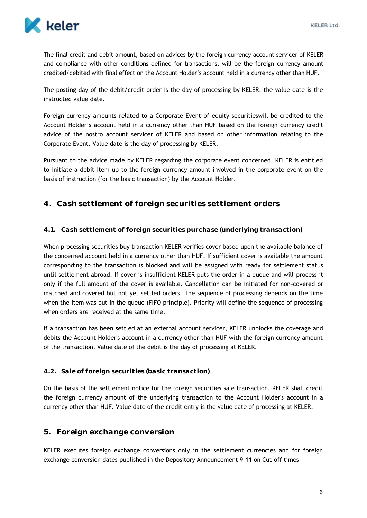

The final credit and debit amount, based on advices by the foreign currency account servicer of KELER and compliance with other conditions defined for transactions, will be the foreign currency amount credited/debited with final effect on the Account Holder's account held in a currency other than HUF.

The posting day of the debit/credit order is the day of processing by KELER, the value date is the instructed value date.

Foreign currency amounts related to a Corporate Event of equity securitieswill be credited to the Account Holder's account held in a currency other than HUF based on the foreign currency credit advice of the nostro account servicer of KELER and based on other information relating to the Corporate Event. Value date is the day of processing by KELER.

Pursuant to the advice made by KELER regarding the corporate event concerned, KELER is entitled to initiate a debit item up to the foreign currency amount involved in the corporate event on the basis of instruction (for the basic transaction) by the Account Holder.

## <span id="page-6-0"></span>**4. Cash settlement of foreign securities settlement orders**

#### <span id="page-6-1"></span>**4.1. Cash settlement of foreign securities purchase (underlying transaction)**

When processing securities buy transaction KELER verifies cover based upon the available balance of the concerned account held in a currency other than HUF. If sufficient cover is available the amount corresponding to the transaction is blocked and will be assigned with ready for settlement status until settlement abroad. If cover is insufficient KELER puts the order in a queue and will process it only if the full amount of the cover is available. Cancellation can be initiated for non-covered or matched and covered but not yet settled orders. The sequence of processing depends on the time when the item was put in the queue (FIFO principle). Priority will define the sequence of processing when orders are received at the same time.

If a transaction has been settled at an external account servicer, KELER unblocks the coverage and debits the Account Holder's account in a currency other than HUF with the foreign currency amount of the transaction. Value date of the debit is the day of processing at KELER.

#### <span id="page-6-2"></span>**4.2. Sale of foreign securities (basic transaction)**

On the basis of the settlement notice for the foreign securities sale transaction, KELER shall credit the foreign currency amount of the underlying transaction to the Account Holder's account in a currency other than HUF. Value date of the credit entry is the value date of processing at KELER.

#### <span id="page-6-3"></span>**5. Foreign exchange conversion**

KELER executes foreign exchange conversions only in the settlement currencies and for foreign exchange conversion dates published in the Depository Announcement 9-11 on Cut-off times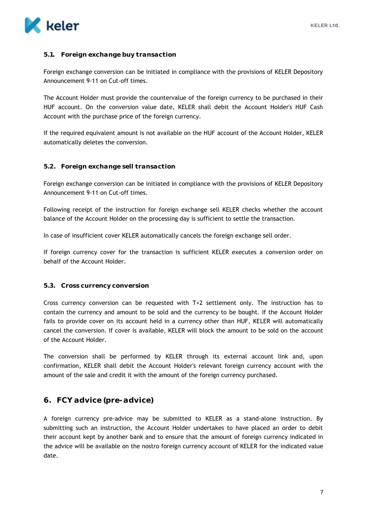#### <span id="page-7-0"></span>**5.1. Foreign exchange buy transaction**

Foreign exchange conversion can be initiated in compliance with the provisions of KELER Depository Announcement 9-11 on Cut-off times.

The Account Holder must provide the countervalue of the foreign currency to be purchased in their HUF account. On the conversion value date, KELER shall debit the Account Holder's HUF Cash Account with the purchase price of the foreign currency.

If the required equivalent amount is not available on the HUF account of the Account Holder, KELER automatically deletes the conversion.

#### <span id="page-7-1"></span>**5.2. Foreign exchange sell transaction**

Foreign exchange conversion can be initiated in compliance with the provisions of KELER Depository Announcement 9-11 on Cut-off times.

Following receipt of the instruction for foreign exchange sell KELER checks whether the account balance of the Account Holder on the processing day is sufficient to settle the transaction.

In case of insufficient cover KELER automatically cancels the foreign exchange sell order.

If foreign currency cover for the transaction is sufficient KELER executes a conversion order on behalf of the Account Holder.

#### <span id="page-7-2"></span>**5.3. Cross currency conversion**

Cross currency conversion can be requested with T+2 settlement only. The instruction has to contain the currency and amount to be sold and the currency to be bought. If the Account Holder fails to provide cover on its account held in a currency other than HUF, KELER will automatically cancel the conversion. If cover is available, KELER will block the amount to be sold on the account of the Account Holder.

The conversion shall be performed by KELER through its external account link and, upon confirmation, KELER shall debit the Account Holder's relevant foreign currency account with the amount of the sale and credit it with the amount of the foreign currency purchased.

#### <span id="page-7-3"></span>**6. FCY advice (pre-advice)**

A foreign currency pre-advice may be submitted to KELER as a stand-alone instruction. By submitting such an instruction, the Account Holder undertakes to have placed an order to debit their account kept by another bank and to ensure that the amount of foreign currency indicated in the advice will be available on the nostro foreign currency account of KELER for the indicated value date.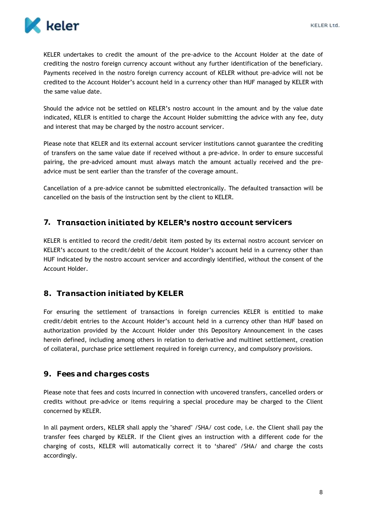

KELER undertakes to credit the amount of the pre-advice to the Account Holder at the date of crediting the nostro foreign currency account without any further identification of the beneficiary. Payments received in the nostro foreign currency account of KELER without pre-advice will not be credited to the Account Holder's account held in a currency other than HUF managed by KELER with the same value date.

Should the advice not be settled on KELER's nostro account in the amount and by the value date indicated, KELER is entitled to charge the Account Holder submitting the advice with any fee, duty and interest that may be charged by the nostro account servicer.

Please note that KELER and its external account servicer institutions cannot guarantee the crediting of transfers on the same value date if received without a pre-advice. In order to ensure successful pairing, the pre-adviced amount must always match the amount actually received and the preadvice must be sent earlier than the transfer of the coverage amount.

Cancellation of a pre-advice cannot be submitted electronically. The defaulted transaction will be cancelled on the basis of the instruction sent by the client to KELER.

## <span id="page-8-0"></span>7. Transaction initiated by KELER's nostro account servicers

KELER is entitled to record the credit/debit item posted by its external nostro account servicer on KELER's account to the credit/debit of the Account Holder's account held in a currency other than HUF indicated by the nostro account servicer and accordingly identified, without the consent of the Account Holder.

### <span id="page-8-1"></span>**8. Transaction initiated by KELER**

For ensuring the settlement of transactions in foreign currencies KELER is entitled to make credit/debit entries to the Account Holder's account held in a currency other than HUF based on authorization provided by the Account Holder under this Depository Announcement in the cases herein defined, including among others in relation to derivative and multinet settlement, creation of collateral, purchase price settlement required in foreign currency, and compulsory provisions.

### <span id="page-8-2"></span>**9. Fees and charges costs**

Please note that fees and costs incurred in connection with uncovered transfers, cancelled orders or credits without pre-advice or items requiring a special procedure may be charged to the Client concerned by KELER.

In all payment orders, KELER shall apply the "shared" /SHA/ cost code, i.e. the Client shall pay the transfer fees charged by KELER. If the Client gives an instruction with a different code for the charging of costs, KELER will automatically correct it to 'shared' /SHA/ and charge the costs accordingly.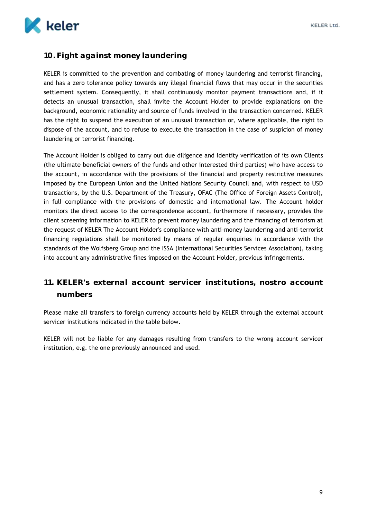

## <span id="page-9-0"></span>**10. Fight against money laundering**

KELER is committed to the prevention and combating of money laundering and terrorist financing, and has a zero tolerance policy towards any illegal financial flows that may occur in the securities settlement system. Consequently, it shall continuously monitor payment transactions and, if it detects an unusual transaction, shall invite the Account Holder to provide explanations on the background, economic rationality and source of funds involved in the transaction concerned. KELER has the right to suspend the execution of an unusual transaction or, where applicable, the right to dispose of the account, and to refuse to execute the transaction in the case of suspicion of money laundering or terrorist financing.

The Account Holder is obliged to carry out due diligence and identity verification of its own Clients (the ultimate beneficial owners of the funds and other interested third parties) who have access to the account, in accordance with the provisions of the financial and property restrictive measures imposed by the European Union and the United Nations Security Council and, with respect to USD transactions, by the U.S. Department of the Treasury, OFAC (The Office of Foreign Assets Control), in full compliance with the provisions of domestic and international law. The Account holder monitors the direct access to the correspondence account, furthermore if necessary, provides the client screening information to KELER to prevent money laundering and the financing of terrorism at the request of KELER The Account Holder's compliance with anti-money laundering and anti-terrorist financing regulations shall be monitored by means of regular enquiries in accordance with the standards of the Wolfsberg Group and the ISSA (International Securities Services Association), taking into account any administrative fines imposed on the Account Holder, previous infringements.

## <span id="page-9-1"></span>**11. KELER's external account servicer institutions, nostro account numbers**

Please make all transfers to foreign currency accounts held by KELER through the external account servicer institutions indicated in the table below.

KELER will not be liable for any damages resulting from transfers to the wrong account servicer institution, e.g. the one previously announced and used.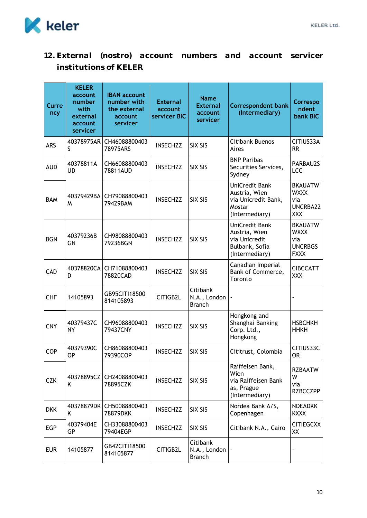

<span id="page-10-0"></span>**12. External (nostro) account numbers and account servicer institutions of KELER**

| Curre<br>ncy | <b>KELER</b><br>account<br>number<br>with<br>external<br>account<br>servicer | <b>IBAN account</b><br>number with<br>the external<br>account<br>servicer | <b>External</b><br>account<br>servicer BIC | <b>Name</b><br><b>External</b><br>account<br>servicer | <b>Correspondent bank</b><br>(Intermediary)                                          | Correspo<br>ndent<br>bank BIC                                         |
|--------------|------------------------------------------------------------------------------|---------------------------------------------------------------------------|--------------------------------------------|-------------------------------------------------------|--------------------------------------------------------------------------------------|-----------------------------------------------------------------------|
| <b>ARS</b>   | 40378975AR<br>S                                                              | CH46088800403<br>78975ARS                                                 | <b>INSECHZZ</b>                            | <b>SIX SIS</b>                                        | Citibank Buenos<br>Aires                                                             | CITIUS33A<br><b>RR</b>                                                |
| <b>AUD</b>   | 40378811A<br>UD                                                              | CH66088800403<br>78811AUD                                                 | <b>INSECHZZ</b>                            | SIX SIS                                               | <b>BNP Paribas</b><br>Securities Services,<br>Sydney                                 | PARBAU2S<br>LCC                                                       |
| <b>BAM</b>   | 40379429BA<br>M                                                              | CH79088800403<br>79429BAM                                                 | <b>INSECHZZ</b>                            | SIX SIS                                               | UniCredit Bank<br>Austria, Wien<br>via Unicredit Bank,<br>Mostar<br>(Intermediary)   | <b>BKAUATW</b><br><b>WXXX</b><br>via<br>UNCRBA22<br><b>XXX</b>        |
| <b>BGN</b>   | 40379236B<br>GN                                                              | CH98088800403<br>79236BGN                                                 | <b>INSECHZZ</b>                            | <b>SIX SIS</b>                                        | UniCredit Bank<br>Austria, Wien<br>via Unicredit<br>Bulbank, Sofia<br>(Intermediary) | <b>BKAUATW</b><br><b>WXXX</b><br>via<br><b>UNCRBGS</b><br><b>FXXX</b> |
| CAD          | 40378820CA<br>D                                                              | CH71088800403<br>78820CAD                                                 | <b>INSECHZZ</b>                            | SIX SIS                                               | Canadian Imperial<br>Bank of Commerce,<br>Toronto                                    | <b>CIBCCATT</b><br><b>XXX</b>                                         |
| <b>CHF</b>   | 14105893                                                                     | GB95CITI18500<br>814105893                                                | CITIGB2L                                   | Citibank<br>N.A., London<br><b>Branch</b>             |                                                                                      |                                                                       |
| <b>CNY</b>   | 40379437C<br>NΥ                                                              | CH96088800403<br>79437CNY                                                 | <b>INSECHZZ</b>                            | SIX SIS                                               | Hongkong and<br>Shanghai Banking<br>Corp. Ltd.,<br>Hongkong                          | <b>HSBCHKH</b><br><b>HHKH</b>                                         |
| COP          | 40379390C<br><b>OP</b>                                                       | CH86088800403<br>79390COP                                                 | <b>INSECHZZ</b>                            | SIX SIS                                               | Cititrust, Colombia                                                                  | CITIUS33C<br><b>OR</b>                                                |
| <b>CZK</b>   | 40378895CZ<br>Κ                                                              | CH24088800403<br>78895CZK                                                 | <b>INSECHZZ</b>                            | SIX SIS                                               | Raiffeisen Bank,<br>Wien<br>via Raiffeisen Bank<br>as, Prague<br>(Intermediary)      | <b>RZBAATW</b><br>W<br>via<br><b>RZBCCZPP</b>                         |
| <b>DKK</b>   | 40378879DK<br>Κ                                                              | CH50088800403<br>78879DKK                                                 | <b>INSECHZZ</b>                            | SIX SIS                                               | Nordea Bank A/S,<br>Copenhagen                                                       | <b>NDEADKK</b><br><b>KXXX</b>                                         |
| EGP          | 40379404E<br>GP                                                              | CH33088800403<br>79404EGP                                                 | <b>INSECHZZ</b>                            | SIX SIS                                               | Citibank N.A., Cairo                                                                 | <b>CITIEGCXX</b><br>XX                                                |
| <b>EUR</b>   | 14105877                                                                     | GB42CITI18500<br>814105877                                                | CITIGB2L                                   | Citibank<br>N.A., London<br><b>Branch</b>             |                                                                                      | $\overline{\phantom{a}}$                                              |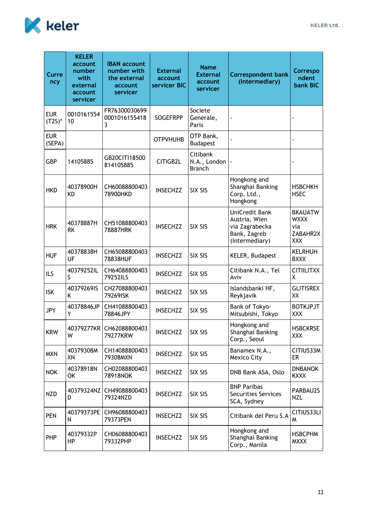

| Curre<br>ncy            | <b>KELER</b><br>account<br>number<br>with<br>external<br>account<br>servicer | <b>IBAN account</b><br>number with<br>the external<br>account<br>servicer | <b>External</b><br>account<br>servicer BIC | <b>Name</b><br><b>External</b><br>account<br>servicer | <b>Correspondent bank</b><br>(Intermediary)                                         | Correspo<br>ndent<br><b>bank BIC</b>                           |
|-------------------------|------------------------------------------------------------------------------|---------------------------------------------------------------------------|--------------------------------------------|-------------------------------------------------------|-------------------------------------------------------------------------------------|----------------------------------------------------------------|
| <b>EUR</b><br>$(T2S)^*$ | 0010161554<br>10                                                             | FR76300030699<br>0001016155418<br>3                                       | <b>SOGEFRPP</b>                            | Societe<br>Generale,<br>Paris                         |                                                                                     |                                                                |
| <b>EUR</b><br>(SEPA)    |                                                                              |                                                                           | <b>OTPVHUHB</b>                            | OTP Bank,<br><b>Budapest</b>                          |                                                                                     |                                                                |
| <b>GBP</b>              | 14105885                                                                     | GB20CITI18500<br>814105885                                                | CITIGB2L                                   | Citibank<br>N.A., London<br><b>Branch</b>             |                                                                                     |                                                                |
| <b>HKD</b>              | 40378900H<br><b>KD</b>                                                       | CH60088800403<br>78900HKD                                                 | <b>INSECHZZ</b>                            | SIX SIS                                               | Hongkong and<br>Shanghai Banking<br>Corp. Ltd.,<br>Hongkong                         | <b>HSBCHKH</b><br><b>HSEC</b>                                  |
| <b>HRK</b>              | 40378887H<br><b>RK</b>                                                       | CH51088800403<br>78887HRK                                                 | <b>INSECHZZ</b>                            | <b>SIX SIS</b>                                        | UniCredit Bank<br>Austria, Wien<br>via Zagrabecka<br>Bank, Zagreb<br>(Intermediary) | <b>BKAUATW</b><br><b>WXXX</b><br>via<br>ZABAHR2X<br><b>XXX</b> |
| <b>HUF</b>              | 40378838H<br>UF                                                              | CH65088800403<br>78838HUF                                                 | <b>INSECHZZ</b>                            | SIX SIS                                               | KELER, Budapest                                                                     | <b>KELRHUH</b><br><b>BXXX</b>                                  |
| ILS                     | 40379252IL<br>S                                                              | CH64088800403<br>79252ILS                                                 | <b>INSECHZZ</b>                            | <b>SIX SIS</b>                                        | Citibank N.A., Tel<br>Aviv                                                          | <b>CITIILITXX</b><br>X                                         |
| <b>ISK</b>              | 40379269IS<br>K                                                              | CH27088800403<br>79269ISK                                                 | <b>INSECHZZ</b>                            | SIX SIS                                               | Islandsbanki HF,<br>Reykjavik                                                       | <b>GLITISREX</b><br>XX                                         |
| <b>JPY</b>              | 40378846JP<br>Y                                                              | CH41088800403<br>78846JPY                                                 | <b>INSECHZZ</b>                            | SIX SIS                                               | Bank of Tokyo-<br>Mitsubishi, Tokyo                                                 | <b>BOTKJPJT</b><br>XXX                                         |
| <b>KRW</b>              | W                                                                            | 40379277KR CH62088800403<br>79277KRW                                      | <b>INSECHZZ</b>                            | SIX SIS                                               | Hongkong and<br>Shanghai Banking<br>Corp., Seoul                                    | <b>HSBCKRSE</b><br><b>XXX</b>                                  |
| <b>MXN</b>              | 40379308M<br>XN                                                              | CH14088800403<br>79308MXN                                                 | <b>INSECHZZ</b>                            | SIX SIS                                               | Banamex N.A.,<br>Mexico City                                                        | CITIUS33M<br>ER                                                |
| <b>NOK</b>              | 40378918N<br>OK                                                              | CH02088800403<br>78918NOK                                                 | <b>INSECHZZ</b>                            | SIX SIS                                               | DNB Bank ASA, Oslo                                                                  | <b>DNBANOK</b><br><b>KXXX</b>                                  |
| <b>NZD</b>              | 40379324NZ<br>D                                                              | CH49088800403<br>79324NZD                                                 | <b>INSECHZZ</b>                            | SIX SIS                                               | <b>BNP Paribas</b><br><b>Securities Services</b><br>SCA, Sydney                     | PARBAU2S<br><b>NZL</b>                                         |
| <b>PEN</b>              | 40379373PE<br>N                                                              | CH96088800403<br>79373PEN                                                 | <b>INSECHZZ</b>                            | SIX SIS                                               | Citibank del Peru S.A                                                               | CITIUS33LI<br>W                                                |
| PHP                     | 40379332P<br>HP                                                              | CH06088800403<br>79332PHP                                                 | <b>INSECHZZ</b>                            | SIX SIS                                               | Hongkong and<br>Shanghai Banking<br>Corp., Manila                                   | <b>HSBCPHM</b><br><b>MXXX</b>                                  |